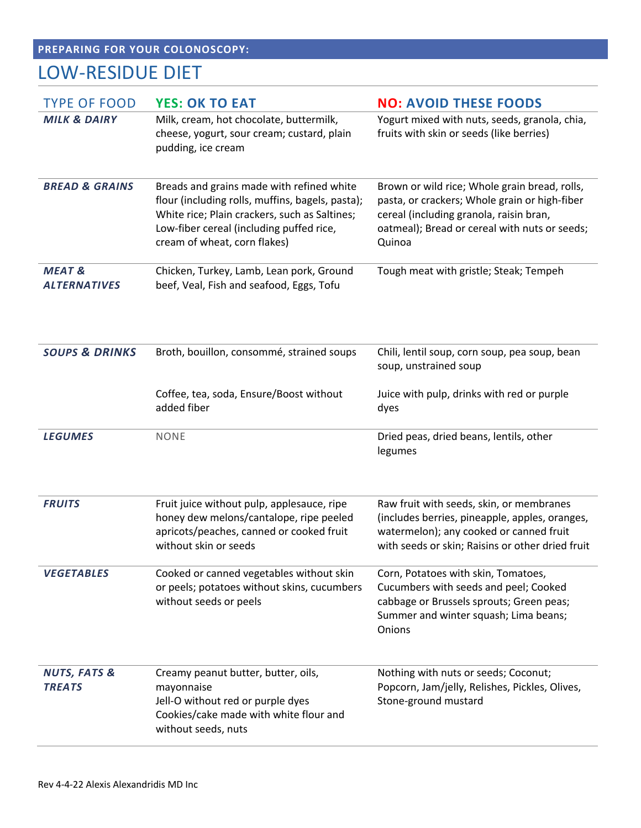## **PREPARING FOR YOUR COLONOSCOPY:**

## LOW-RESIDUE DIET

| <b>TYPE OF FOOD</b>                      | <b>YES: OK TO EAT</b>                                                                                                                                                                                                      | <b>NO: AVOID THESE FOODS</b>                                                                                                                                                                         |  |
|------------------------------------------|----------------------------------------------------------------------------------------------------------------------------------------------------------------------------------------------------------------------------|------------------------------------------------------------------------------------------------------------------------------------------------------------------------------------------------------|--|
| <b>MILK &amp; DAIRY</b>                  | Milk, cream, hot chocolate, buttermilk,<br>cheese, yogurt, sour cream; custard, plain<br>pudding, ice cream                                                                                                                | Yogurt mixed with nuts, seeds, granola, chia,<br>fruits with skin or seeds (like berries)                                                                                                            |  |
| <b>BREAD &amp; GRAINS</b>                | Breads and grains made with refined white<br>flour (including rolls, muffins, bagels, pasta);<br>White rice; Plain crackers, such as Saltines;<br>Low-fiber cereal (including puffed rice,<br>cream of wheat, corn flakes) | Brown or wild rice; Whole grain bread, rolls,<br>pasta, or crackers; Whole grain or high-fiber<br>cereal (including granola, raisin bran,<br>oatmeal); Bread or cereal with nuts or seeds;<br>Quinoa |  |
| <b>MEAT &amp;</b><br><b>ALTERNATIVES</b> | Chicken, Turkey, Lamb, Lean pork, Ground<br>beef, Veal, Fish and seafood, Eggs, Tofu                                                                                                                                       | Tough meat with gristle; Steak; Tempeh                                                                                                                                                               |  |
| <b>SOUPS &amp; DRINKS</b>                | Broth, bouillon, consommé, strained soups                                                                                                                                                                                  | Chili, lentil soup, corn soup, pea soup, bean<br>soup, unstrained soup                                                                                                                               |  |
|                                          | Coffee, tea, soda, Ensure/Boost without<br>added fiber                                                                                                                                                                     | Juice with pulp, drinks with red or purple<br>dyes                                                                                                                                                   |  |
| <b>LEGUMES</b>                           | <b>NONE</b>                                                                                                                                                                                                                | Dried peas, dried beans, lentils, other<br>legumes                                                                                                                                                   |  |
| <b>FRUITS</b>                            | Fruit juice without pulp, applesauce, ripe<br>honey dew melons/cantalope, ripe peeled<br>apricots/peaches, canned or cooked fruit<br>without skin or seeds                                                                 | Raw fruit with seeds, skin, or membranes<br>(includes berries, pineapple, apples, oranges,<br>watermelon); any cooked or canned fruit<br>with seeds or skin; Raisins or other dried fruit            |  |
| <b>VEGETABLES</b>                        | Cooked or canned vegetables without skin<br>or peels; potatoes without skins, cucumbers<br>without seeds or peels                                                                                                          | Corn, Potatoes with skin, Tomatoes,<br>Cucumbers with seeds and peel; Cooked<br>cabbage or Brussels sprouts; Green peas;<br>Summer and winter squash; Lima beans;<br>Onions                          |  |
| <b>NUTS, FATS &amp;</b><br><b>TREATS</b> | Creamy peanut butter, butter, oils,<br>mayonnaise<br>Jell-O without red or purple dyes<br>Cookies/cake made with white flour and<br>without seeds, nuts                                                                    | Nothing with nuts or seeds; Coconut;<br>Popcorn, Jam/jelly, Relishes, Pickles, Olives,<br>Stone-ground mustard                                                                                       |  |